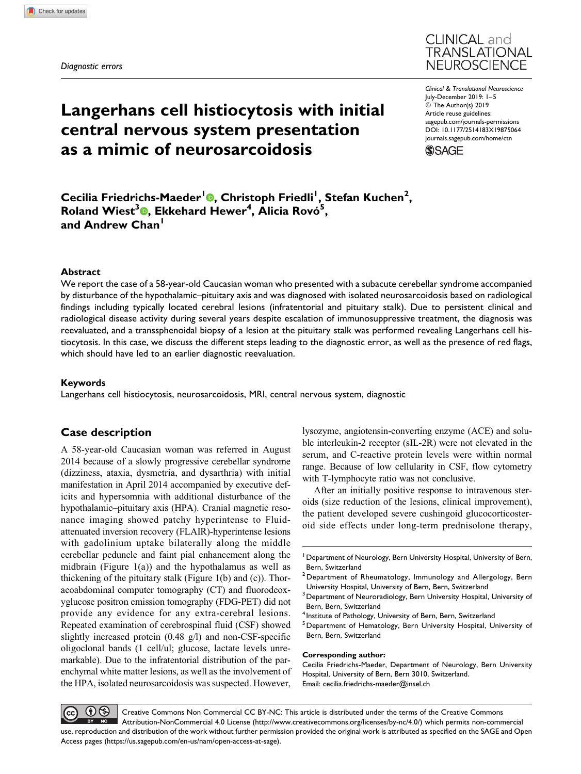Diagnostic errors



# Langerhans cell histiocytosis with initial central nervous system presentation as a mimic of neurosarcoidosis

Clinical & Translational Neuroscience July-December 2019: 1–5  $©$  The Author(s) 2019 Article reuse guidelines: [sagepub.com/journals-permissions](https://sagepub.com/journals-permissions) [DOI: 10.1177/2514183X19875064](https://doi.org/10.1177/2514183X19875064) [journals.sagepub.com/home/ctn](http://journals.sagepub.com/home/ctn)



Cecilia Friedrichs-Maeder<sup>l</sup>®[,](https://orcid.org/0000-0001-9741-0046) Christoph Friedli<sup>I</sup>, Stefan Kuchen<sup>2</sup>, Roland Wiest<sup>3</sup>®[,](https://orcid.org/0000-0001-7030-2045) Ekkehard Hewer<sup>4</sup>, Alicia Rovó<sup>5</sup>, and Andrew Chan<sup>1</sup>

#### **Abstract**

We report the case of a 58-year-old Caucasian woman who presented with a subacute cerebellar syndrome accompanied by disturbance of the hypothalamic–pituitary axis and was diagnosed with isolated neurosarcoidosis based on radiological findings including typically located cerebral lesions (infratentorial and pituitary stalk). Due to persistent clinical and radiological disease activity during several years despite escalation of immunosuppressive treatment, the diagnosis was reevaluated, and a transsphenoidal biopsy of a lesion at the pituitary stalk was performed revealing Langerhans cell histiocytosis. In this case, we discuss the different steps leading to the diagnostic error, as well as the presence of red flags, which should have led to an earlier diagnostic reevaluation.

#### Keywords

Langerhans cell histiocytosis, neurosarcoidosis, MRI, central nervous system, diagnostic

# Case description

A 58-year-old Caucasian woman was referred in August 2014 because of a slowly progressive cerebellar syndrome (dizziness, ataxia, dysmetria, and dysarthria) with initial manifestation in April 2014 accompanied by executive deficits and hypersomnia with additional disturbance of the hypothalamic–pituitary axis (HPA). Cranial magnetic resonance imaging showed patchy hyperintense to Fluidattenuated inversion recovery (FLAIR)-hyperintense lesions with gadolinium uptake bilaterally along the middle cerebellar peduncle and faint pial enhancement along the midbrain (Figure  $1(a)$ ) and the hypothalamus as well as thickening of the pituitary stalk (Figure 1(b) and (c)). Thoracoabdominal computer tomography (CT) and fluorodeoxyglucose positron emission tomography (FDG-PET) did not provide any evidence for any extra-cerebral lesions. Repeated examination of cerebrospinal fluid (CSF) showed slightly increased protein (0.48 g/l) and non-CSF-specific oligoclonal bands (1 cell/ul; glucose, lactate levels unremarkable). Due to the infratentorial distribution of the parenchymal white matter lesions, as well as the involvement of the HPA, isolated neurosarcoidosis was suspected. However,

lysozyme, angiotensin-converting enzyme (ACE) and soluble interleukin-2 receptor (sIL-2R) were not elevated in the serum, and C-reactive protein levels were within normal range. Because of low cellularity in CSF, flow cytometry with T-lymphocyte ratio was not conclusive.

After an initially positive response to intravenous steroids (size reduction of the lesions, clinical improvement), the patient developed severe cushingoid glucocorticosteroid side effects under long-term prednisolone therapy,

#### Corresponding author:

Cecilia Friedrichs-Maeder, Department of Neurology, Bern University Hospital, University of Bern, Bern 3010, Switzerland. Email: [cecilia.friedrichs-maeder@insel.ch](mailto:cecilia.friedrichs-maeder@insel.ch)

 $\left( \mathbf{r} \right)$ Creative Commons Non Commercial CC BY-NC: This article is distributed under the terms of the Creative Commons  $(cc)$  $BY$  NC Attribution-NonCommercial 4.0 License (http://www.creativecommons.org/licenses/by-nc/4.0/) which permits non-commercial use, reproduction and distribution of the work without further permission provided the original work is attributed as specified on the SAGE and Open Access pages (<https://us.sagepub.com/en-us/nam/open-access-at-sage>).

<sup>&</sup>lt;sup>1</sup> Department of Neurology, Bern University Hospital, University of Bern, Bern, Switzerland

<sup>&</sup>lt;sup>2</sup> Department of Rheumatology, Immunology and Allergology, Bern University Hospital, University of Bern, Bern, Switzerland

<sup>&</sup>lt;sup>3</sup> Department of Neuroradiology, Bern University Hospital, University of Bern, Bern, Switzerland

<sup>&</sup>lt;sup>4</sup> Institute of Pathology, University of Bern, Bern, Switzerland

<sup>5</sup>Department of Hematology, Bern University Hospital, University of Bern, Bern, Switzerland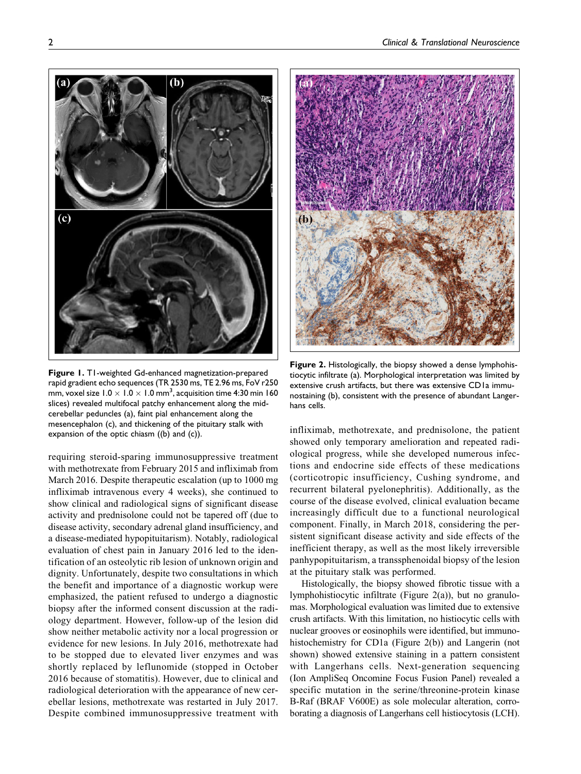$(b)$  $\left( \mathrm{c}\right)$ 

Figure 1. T1-weighted Gd-enhanced magnetization-prepared rapid gradient echo sequences (TR 2530 ms, TE 2.96 ms, FoV r250 mm, voxel size 1.0  $\times$  1.0  $\times$  1.0 mm<sup>3</sup>, acquisition time 4:30 min 160 slices) revealed multifocal patchy enhancement along the midcerebellar peduncles (a), faint pial enhancement along the mesencephalon (c), and thickening of the pituitary stalk with expansion of the optic chiasm ((b) and (c)).

requiring steroid-sparing immunosuppressive treatment with methotrexate from February 2015 and infliximab from March 2016. Despite therapeutic escalation (up to 1000 mg infliximab intravenous every 4 weeks), she continued to show clinical and radiological signs of significant disease activity and prednisolone could not be tapered off (due to disease activity, secondary adrenal gland insufficiency, and a disease-mediated hypopituitarism). Notably, radiological evaluation of chest pain in January 2016 led to the identification of an osteolytic rib lesion of unknown origin and dignity. Unfortunately, despite two consultations in which the benefit and importance of a diagnostic workup were emphasized, the patient refused to undergo a diagnostic biopsy after the informed consent discussion at the radiology department. However, follow-up of the lesion did show neither metabolic activity nor a local progression or evidence for new lesions. In July 2016, methotrexate had to be stopped due to elevated liver enzymes and was shortly replaced by leflunomide (stopped in October 2016 because of stomatitis). However, due to clinical and radiological deterioration with the appearance of new cerebellar lesions, methotrexate was restarted in July 2017. Despite combined immunosuppressive treatment with



Figure 2. Histologically, the biopsy showed a dense lymphohistiocytic infiltrate (a). Morphological interpretation was limited by extensive crush artifacts, but there was extensive CD1a immunostaining (b), consistent with the presence of abundant Langerhans cells.

infliximab, methotrexate, and prednisolone, the patient showed only temporary amelioration and repeated radiological progress, while she developed numerous infections and endocrine side effects of these medications (corticotropic insufficiency, Cushing syndrome, and recurrent bilateral pyelonephritis). Additionally, as the course of the disease evolved, clinical evaluation became increasingly difficult due to a functional neurological component. Finally, in March 2018, considering the persistent significant disease activity and side effects of the inefficient therapy, as well as the most likely irreversible panhypopituitarism, a transsphenoidal biopsy of the lesion at the pituitary stalk was performed.

Histologically, the biopsy showed fibrotic tissue with a lymphohistiocytic infiltrate (Figure 2(a)), but no granulomas. Morphological evaluation was limited due to extensive crush artifacts. With this limitation, no histiocytic cells with nuclear grooves or eosinophils were identified, but immunohistochemistry for CD1a (Figure 2(b)) and Langerin (not shown) showed extensive staining in a pattern consistent with Langerhans cells. Next-generation sequencing (Ion AmpliSeq Oncomine Focus Fusion Panel) revealed a specific mutation in the serine/threonine-protein kinase B-Raf (BRAF V600E) as sole molecular alteration, corroborating a diagnosis of Langerhans cell histiocytosis (LCH).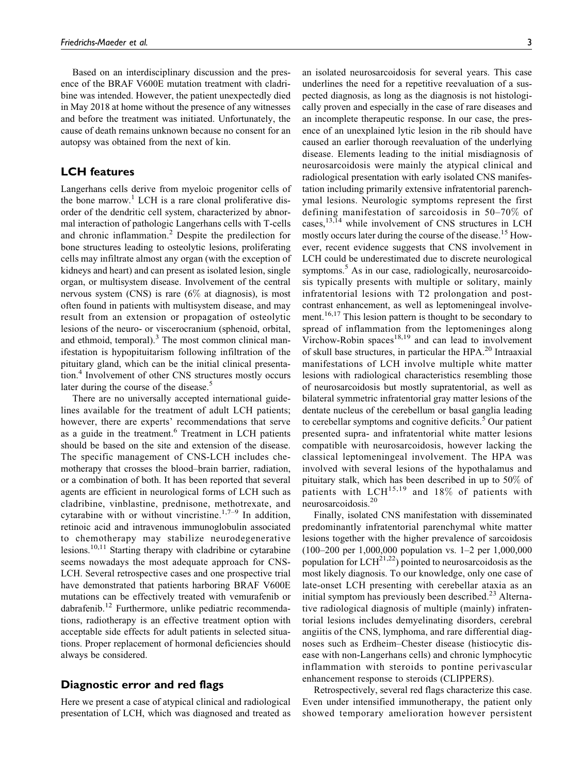Based on an interdisciplinary discussion and the presence of the BRAF V600E mutation treatment with cladribine was intended. However, the patient unexpectedly died in May 2018 at home without the presence of any witnesses and before the treatment was initiated. Unfortunately, the cause of death remains unknown because no consent for an autopsy was obtained from the next of kin.

# LCH features

Langerhans cells derive from myeloic progenitor cells of the bone marrow.<sup>1</sup> LCH is a rare clonal proliferative disorder of the dendritic cell system, characterized by abnormal interaction of pathologic Langerhans cells with T-cells and chronic inflammation.<sup>2</sup> Despite the predilection for bone structures leading to osteolytic lesions, proliferating cells may infiltrate almost any organ (with the exception of kidneys and heart) and can present as isolated lesion, single organ, or multisystem disease. Involvement of the central nervous system (CNS) is rare  $6\%$  at diagnosis), is most often found in patients with multisystem disease, and may result from an extension or propagation of osteolytic lesions of the neuro- or viscerocranium (sphenoid, orbital, and ethmoid, temporal).<sup>3</sup> The most common clinical manifestation is hypopituitarism following infiltration of the pituitary gland, which can be the initial clinical presentation.<sup>4</sup> Involvement of other CNS structures mostly occurs later during the course of the disease.<sup>5</sup>

There are no universally accepted international guidelines available for the treatment of adult LCH patients; however, there are experts' recommendations that serve as a guide in the treatment.<sup>6</sup> Treatment in LCH patients should be based on the site and extension of the disease. The specific management of CNS-LCH includes chemotherapy that crosses the blood–brain barrier, radiation, or a combination of both. It has been reported that several agents are efficient in neurological forms of LCH such as cladribine, vinblastine, prednisone, methotrexate, and cytarabine with or without vincristine.<sup>1,7–9</sup> In addition, retinoic acid and intravenous immunoglobulin associated to chemotherapy may stabilize neurodegenerative lesions.<sup>10,11</sup> Starting therapy with cladribine or cytarabine seems nowadays the most adequate approach for CNS-LCH. Several retrospective cases and one prospective trial have demonstrated that patients harboring BRAF V600E mutations can be effectively treated with vemurafenib or dabrafenib.<sup>12</sup> Furthermore, unlike pediatric recommendations, radiotherapy is an effective treatment option with acceptable side effects for adult patients in selected situations. Proper replacement of hormonal deficiencies should always be considered.

### Diagnostic error and red flags

Here we present a case of atypical clinical and radiological presentation of LCH, which was diagnosed and treated as

an isolated neurosarcoidosis for several years. This case underlines the need for a repetitive reevaluation of a suspected diagnosis, as long as the diagnosis is not histologically proven and especially in the case of rare diseases and an incomplete therapeutic response. In our case, the presence of an unexplained lytic lesion in the rib should have caused an earlier thorough reevaluation of the underlying disease. Elements leading to the initial misdiagnosis of neurosarcoidosis were mainly the atypical clinical and radiological presentation with early isolated CNS manifestation including primarily extensive infratentorial parenchymal lesions. Neurologic symptoms represent the first defining manifestation of sarcoidosis in 50–70% of cases,13,14 while involvement of CNS structures in LCH mostly occurs later during the course of the disease.<sup>15</sup> However, recent evidence suggests that CNS involvement in LCH could be underestimated due to discrete neurological symptoms.<sup>5</sup> As in our case, radiologically, neurosarcoidosis typically presents with multiple or solitary, mainly infratentorial lesions with T2 prolongation and postcontrast enhancement, as well as leptomeningeal involvement.<sup>16,17</sup> This lesion pattern is thought to be secondary to spread of inflammation from the leptomeninges along Virchow-Robin spaces<sup>18,19</sup> and can lead to involvement of skull base structures, in particular the HPA.<sup>20</sup> Intraaxial manifestations of LCH involve multiple white matter lesions with radiological characteristics resembling those of neurosarcoidosis but mostly supratentorial, as well as bilateral symmetric infratentorial gray matter lesions of the dentate nucleus of the cerebellum or basal ganglia leading to cerebellar symptoms and cognitive deficits.<sup>5</sup> Our patient presented supra- and infratentorial white matter lesions compatible with neurosarcoidosis, however lacking the classical leptomeningeal involvement. The HPA was involved with several lesions of the hypothalamus and pituitary stalk, which has been described in up to 50% of patients with  $LCH<sup>15,19</sup>$  and  $18\%$  of patients with neurosarcoidosis.<sup>20</sup>

Finally, isolated CNS manifestation with disseminated predominantly infratentorial parenchymal white matter lesions together with the higher prevalence of sarcoidosis (100–200 per 1,000,000 population vs. 1–2 per 1,000,000 population for  $LCH<sup>21,22</sup>$  pointed to neurosarcoidosis as the most likely diagnosis. To our knowledge, only one case of late-onset LCH presenting with cerebellar ataxia as an initial symptom has previously been described.<sup>23</sup> Alternative radiological diagnosis of multiple (mainly) infratentorial lesions includes demyelinating disorders, cerebral angiitis of the CNS, lymphoma, and rare differential diagnoses such as Erdheim–Chester disease (histiocytic disease with non-Langerhans cells) and chronic lymphocytic inflammation with steroids to pontine perivascular enhancement response to steroids (CLIPPERS).

Retrospectively, several red flags characterize this case. Even under intensified immunotherapy, the patient only showed temporary amelioration however persistent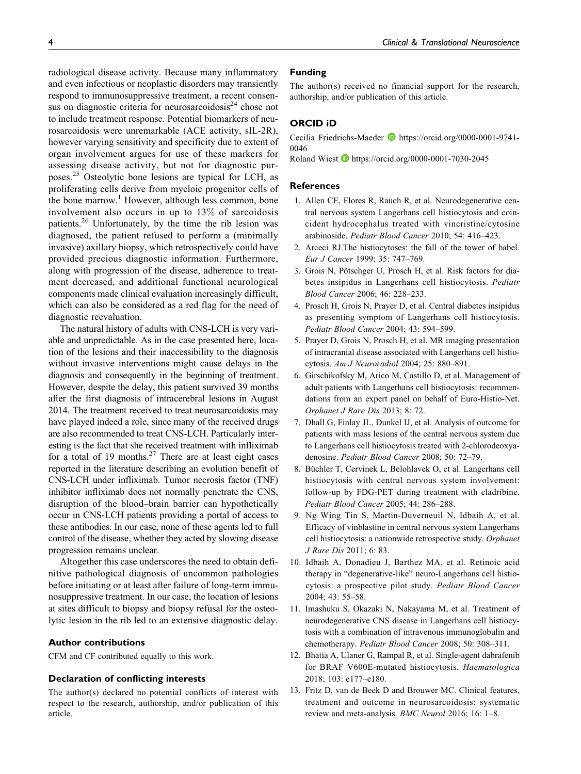radiological disease activity. Because many inflammatory and even infectious or neoplastic disorders may transiently respond to immunosuppressive treatment, a recent consensus on diagnostic criteria for neurosarcoidosis $^{24}$  chose not to include treatment response. Potential biomarkers of neurosarcoidosis were unremarkable (ACE activity, sIL-2R), however varying sensitivity and specificity due to extent of organ involvement argues for use of these markers for assessing disease activity, but not for diagnostic purposes.<sup>25</sup> Osteolytic bone lesions are typical for LCH, as proliferating cells derive from myeloic progenitor cells of the bone marrow.<sup>1</sup> However, although less common, bone involvement also occurs in up to 13% of sarcoidosis patients.<sup>26</sup> Unfortunately, by the time the rib lesion was diagnosed, the patient refused to perform a (minimally invasive) axillary biopsy, which retrospectively could have provided precious diagnostic information. Furthermore, along with progression of the disease, adherence to treatment decreased, and additional functional neurological components made clinical evaluation increasingly difficult, which can also be considered as a red flag for the need of diagnostic reevaluation.

The natural history of adults with CNS-LCH is very variable and unpredictable. As in the case presented here, location of the lesions and their inaccessibility to the diagnosis without invasive interventions might cause delays in the diagnosis and consequently in the beginning of treatment. However, despite the delay, this patient survived 39 months after the first diagnosis of intracerebral lesions in August 2014. The treatment received to treat neurosarcoidosis may have played indeed a role, since many of the received drugs are also recommended to treat CNS-LCH. Particularly interesting is the fact that she received treatment with infliximab for a total of 19 months.<sup>27</sup> There are at least eight cases reported in the literature describing an evolution benefit of CNS-LCH under infliximab. Tumor necrosis factor (TNF) inhibitor infliximab does not normally penetrate the CNS, disruption of the blood–brain barrier can hypothetically occur in CNS-LCH patients providing a portal of access to these antibodies. In our case, none of these agents led to full control of the disease, whether they acted by slowing disease progression remains unclear.

Altogether this case underscores the need to obtain definitive pathological diagnosis of uncommon pathologies before initiating or at least after failure of long-term immunosuppressive treatment. In our case, the location of lesions at sites difficult to biopsy and biopsy refusal for the osteolytic lesion in the rib led to an extensive diagnostic delay.

# Author contributions

CFM and CF contributed equally to this work.

# Declaration of conflicting interests

The author(s) declared no potential conflicts of interest with respect to the research, authorship, and/or publication of this article.

### Funding

The author(s) received no financial support for the research, authorship, and/or publication of this article.

#### ORCID iD

Cecilia Friedrichs-Maeder [https://orcid.org/0000-0001-9741-](https://orcid.org/0000-0001-9741-0046) [0046](https://orcid.org/0000-0001-9741-0046)

Roland Wiest **<https://orcid.org/0000-0001-7030-2045>** 

#### **References**

- 1. Allen CE, Flores R, Rauch R, et al. Neurodegenerative central nervous system Langerhans cell histiocytosis and coincident hydrocephalus treated with vincristine/cytosine arabinoside. Pediatr Blood Cancer 2010; 54: 416–423.
- 2. Arceci RJ.The histiocytoses: the fall of the tower of babel. Eur J Cancer 1999; 35: 747–769.
- 3. Grois N, Pötschger U, Prosch H, et al. Risk factors for diabetes insipidus in Langerhans cell histiocytosis. Pediatr Blood Cancer 2006; 46: 228–233.
- 4. Prosch H, Grois N, Prayer D, et al. Central diabetes insipidus as presenting symptom of Langerhans cell histiocytosis. Pediatr Blood Cancer 2004; 43: 594–599.
- 5. Prayer D, Grois N, Prosch H, et al. MR imaging presentation of intracranial disease associated with Langerhans cell histiocytosis. Am J Neuroradiol 2004; 25: 880–891.
- 6. Girschikofsky M, Arico M, Castillo D, et al. Management of adult patients with Langerhans cell histiocytosis: recommendations from an expert panel on behalf of Euro-Histio-Net. Orphanet J Rare Dis 2013; 8: 72.
- 7. Dhall G, Finlay JL, Dunkel IJ, et al. Analysis of outcome for patients with mass lesions of the central nervous system due to Langerhans cell histiocytosis treated with 2-chlorodeoxyadenosine. Pediatr Blood Cancer 2008; 50: 72–79.
- 8. Büchler T, Cervinek L, Belohlavek O, et al. Langerhans cell histiocytosis with central nervous system involvement: follow-up by FDG-PET during treatment with cladribine. Pediatr Blood Cancer 2005; 44: 286–288.
- 9. Ng Wing Tin S, Martin-Duverneuil N, Idbaih A, et al. Efficacy of vinblastine in central nervous system Langerhans cell histiocytosis: a nationwide retrospective study. Orphanet J Rare Dis 2011; 6: 83.
- 10. Idbaih A, Donadieu J, Barthez MA, et al. Retinoic acid therapy in "degenerative-like" neuro-Langerhans cell histiocytosis: a prospective pilot study. Pediatr Blood Cancer 2004; 43: 55–58.
- 11. Imashuku S, Okazaki N, Nakayama M, et al. Treatment of neurodegenerative CNS disease in Langerhans cell histiocytosis with a combination of intravenous immunoglobulin and chemotherapy. Pediatr Blood Cancer 2008; 50: 308–311.
- 12. Bhatia A, Ulaner G, Rampal R, et al. Single-agent dabrafenib for BRAF V600E-mutated histiocytosis. Haematologica 2018; 103: e177–e180.
- 13. Fritz D, van de Beek D and Brouwer MC. Clinical features, treatment and outcome in neurosarcoidosis: systematic review and meta-analysis. BMC Neurol 2016; 16: 1–8.